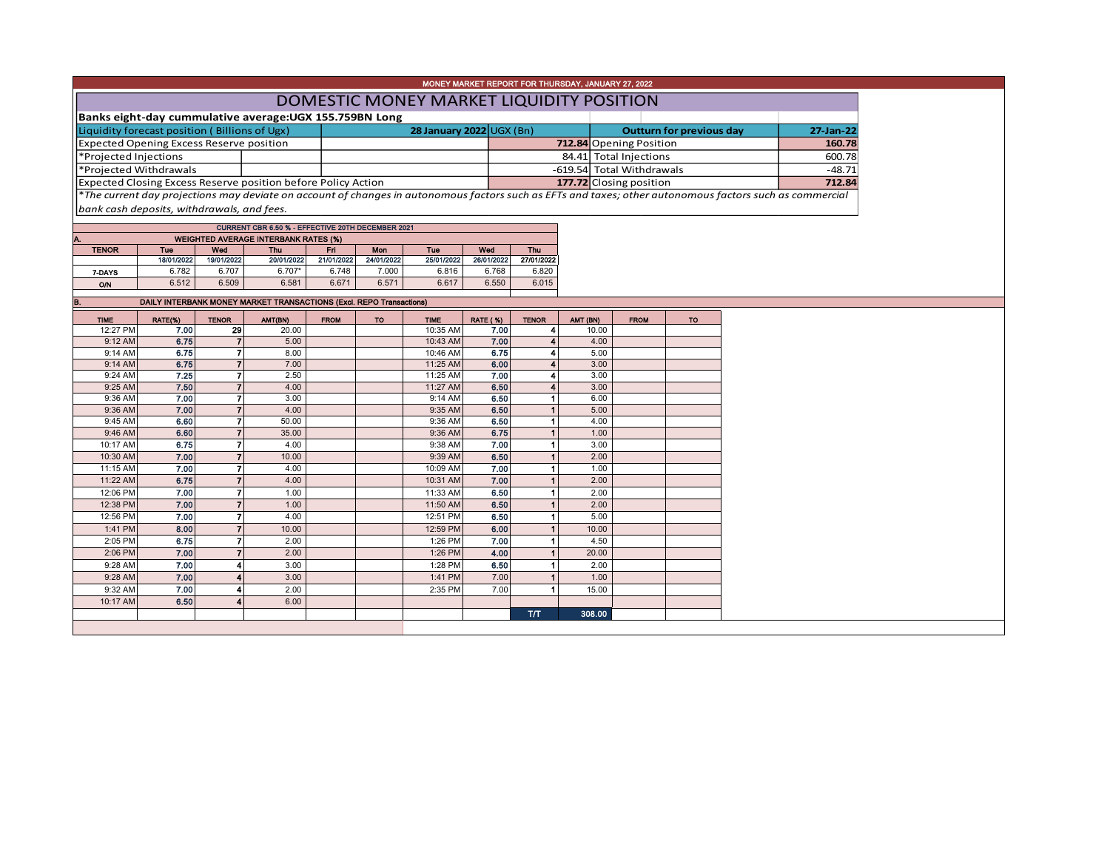|                                                                                                          | MONEY MARKET REPORT FOR THURSDAY, JANUARY 27, 2022 |                                  |                                                                     |                     |                     |                          |                     |                                    |          |              |                         |           |                                                                                                                                                          |          |
|----------------------------------------------------------------------------------------------------------|----------------------------------------------------|----------------------------------|---------------------------------------------------------------------|---------------------|---------------------|--------------------------|---------------------|------------------------------------|----------|--------------|-------------------------|-----------|----------------------------------------------------------------------------------------------------------------------------------------------------------|----------|
| DOMESTIC MONEY MARKET LIQUIDITY POSITION                                                                 |                                                    |                                  |                                                                     |                     |                     |                          |                     |                                    |          |              |                         |           |                                                                                                                                                          |          |
|                                                                                                          |                                                    |                                  |                                                                     |                     |                     |                          |                     |                                    |          |              |                         |           |                                                                                                                                                          |          |
| Banks eight-day cummulative average: UGX 155.759BN Long<br>Liquidity forecast position (Billions of Ugx) |                                                    |                                  |                                                                     |                     |                     |                          |                     |                                    |          |              |                         |           |                                                                                                                                                          |          |
|                                                                                                          |                                                    |                                  |                                                                     |                     |                     | 28 January 2022 UGX (Bn) |                     | <b>Outturn for previous day</b>    |          |              |                         |           | 27-Jan-22                                                                                                                                                |          |
| <b>Expected Opening Excess Reserve position</b>                                                          |                                                    |                                  |                                                                     |                     |                     |                          |                     |                                    |          |              | 712.84 Opening Position |           |                                                                                                                                                          | 160.78   |
| *Projected Injections                                                                                    |                                                    |                                  |                                                                     |                     |                     |                          |                     |                                    |          |              | 84.41 Total Injections  |           |                                                                                                                                                          | 600.78   |
| *Projected Withdrawals                                                                                   |                                                    |                                  |                                                                     |                     |                     |                          |                     | -619.54 Total Withdrawals          |          |              |                         |           |                                                                                                                                                          | $-48.71$ |
|                                                                                                          |                                                    |                                  | Expected Closing Excess Reserve position before Policy Action       |                     |                     |                          |                     |                                    |          |              | 177.72 Closing position |           |                                                                                                                                                          | 712.84   |
|                                                                                                          |                                                    |                                  |                                                                     |                     |                     |                          |                     |                                    |          |              |                         |           | *The current day projections may deviate on account of changes in autonomous factors such as EFTs and taxes; other autonomous factors such as commercial |          |
| bank cash deposits, withdrawals, and fees.                                                               |                                                    |                                  |                                                                     |                     |                     |                          |                     |                                    |          |              |                         |           |                                                                                                                                                          |          |
|                                                                                                          |                                                    |                                  | CURRENT CBR 6.50 % - EFFECTIVE 20TH DECEMBER 2021                   |                     |                     |                          |                     |                                    |          |              |                         |           |                                                                                                                                                          |          |
| Α.                                                                                                       |                                                    |                                  | <b>WEIGHTED AVERAGE INTERBANK RATES (%)</b>                         |                     |                     |                          |                     |                                    |          |              |                         |           |                                                                                                                                                          |          |
| <b>TENOR</b>                                                                                             | Tue                                                | Wed                              | <b>Thu</b>                                                          | Fri                 | Mon                 | Tue                      | Wed                 | Thu                                |          |              |                         |           |                                                                                                                                                          |          |
|                                                                                                          | 18/01/2022<br>6.782                                | 19/01/2022<br>6.707              | 20/01/2022<br>$6.707*$                                              | 21/01/2022<br>6.748 | 24/01/2022<br>7.000 | 25/01/2022<br>6.816      | 26/01/2022<br>6.768 | 27/01/2022<br>6.820                |          |              |                         |           |                                                                                                                                                          |          |
| 7-DAYS                                                                                                   | 6.512                                              | 6.509                            | 6.581                                                               | 6.671               | 6.571               | 6.617                    | 6.550               | 6.015                              |          |              |                         |           |                                                                                                                                                          |          |
| O/N                                                                                                      |                                                    |                                  |                                                                     |                     |                     |                          |                     |                                    |          |              |                         |           |                                                                                                                                                          |          |
| <b>B.</b>                                                                                                |                                                    |                                  | DAILY INTERBANK MONEY MARKET TRANSACTIONS (Excl. REPO Transactions) |                     |                     |                          |                     |                                    |          |              |                         |           |                                                                                                                                                          |          |
| <b>TIME</b>                                                                                              | RATE(%)                                            | <b>TENOR</b>                     | AMT(BN)                                                             | <b>FROM</b>         | <b>TO</b>           | <b>TIME</b>              | <b>RATE (%)</b>     | <b>TENOR</b>                       | AMT (BN) |              | <b>FROM</b>             | <b>TO</b> |                                                                                                                                                          |          |
| 12:27 PM                                                                                                 | 7.00                                               | 29                               | 20.00                                                               |                     |                     | 10:35 AM                 | 7.00                | $\vert$                            |          | 10.00        |                         |           |                                                                                                                                                          |          |
| 9:12 AM                                                                                                  | 6.75                                               | $\overline{7}$                   | 5.00                                                                |                     |                     | 10:43 AM                 | 7.00                | $\boldsymbol{A}$                   |          | 4.00         |                         |           |                                                                                                                                                          |          |
| 9:14 AM                                                                                                  | 6.75                                               | $\overline{7}$                   | 8.00                                                                |                     |                     | 10:46 AM                 | 6.75                | $\overline{4}$                     |          | 5.00         |                         |           |                                                                                                                                                          |          |
| 9:14 AM                                                                                                  | 6.75                                               | $\overline{7}$                   | 7.00                                                                |                     |                     | 11:25 AM                 | 6.00                | $\boldsymbol{4}$<br>$\overline{4}$ |          | 3.00         |                         |           |                                                                                                                                                          |          |
| 9:24 AM<br>9:25 AM                                                                                       | 7.25<br>7.50                                       | 7<br>$\overline{7}$              | 2.50<br>4.00                                                        |                     |                     | 11:25 AM<br>11:27 AM     | 7.00<br>6.50        | $\overline{4}$                     |          | 3.00<br>3.00 |                         |           |                                                                                                                                                          |          |
| 9:36 AM                                                                                                  | 7.00                                               | $\overline{7}$                   | 3.00                                                                |                     |                     | 9:14 AM                  | 6.50                | 1                                  |          | 6.00         |                         |           |                                                                                                                                                          |          |
| 9:36 AM                                                                                                  | 7.00                                               | $\overline{7}$                   | 4.00                                                                |                     |                     | 9:35 AM                  | 6.50                | $\blacktriangleleft$               |          | 5.00         |                         |           |                                                                                                                                                          |          |
| 9:45 AM                                                                                                  | 6.60                                               | $\overline{7}$                   | 50.00                                                               |                     |                     | 9:36 AM                  | 6.50                | 1                                  |          | 4.00         |                         |           |                                                                                                                                                          |          |
| 9:46 AM                                                                                                  | 6.60                                               | $\overline{7}$                   | 35.00                                                               |                     |                     | 9:36 AM                  | 6.75                | $\blacksquare$                     |          | 1.00         |                         |           |                                                                                                                                                          |          |
| 10:17 AM                                                                                                 | 6.75                                               | $\overline{7}$                   | 4.00                                                                |                     |                     | 9:38 AM                  | 7.00                | $\blacktriangleleft$               |          | 3.00         |                         |           |                                                                                                                                                          |          |
| 10:30 AM                                                                                                 | 7.00                                               | $\overline{7}$                   | 10.00                                                               |                     |                     | 9:39 AM                  | 6.50                | 1 <sup>1</sup>                     |          | 2.00         |                         |           |                                                                                                                                                          |          |
| 11:15 AM                                                                                                 | 7.00                                               | $\overline{7}$<br>$\overline{7}$ | 4.00                                                                |                     |                     | 10:09 AM                 | 7.00                | $\vert$ 1<br>$\mathbf{1}$          |          | 1.00         |                         |           |                                                                                                                                                          |          |
| 11:22 AM<br>12:06 PM                                                                                     | 6.75<br>7.00                                       | $\overline{7}$                   | 4.00<br>1.00                                                        |                     |                     | 10:31 AM<br>11:33 AM     | 7.00<br>6.50        | $\blacktriangleleft$               |          | 2.00<br>2.00 |                         |           |                                                                                                                                                          |          |
| 12:38 PM                                                                                                 | 7.00                                               | $\overline{7}$                   | 1.00                                                                |                     |                     | 11:50 AM                 | 6.50                | $\mathbf{1}$                       |          | 2.00         |                         |           |                                                                                                                                                          |          |
| 12:56 PM                                                                                                 | 7.00                                               | $\overline{7}$                   | 4.00                                                                |                     |                     | 12:51 PM                 | 6.50                | $\vert$                            |          | 5.00         |                         |           |                                                                                                                                                          |          |
| 1:41 PM                                                                                                  | 8.00                                               | $\overline{7}$                   | 10.00                                                               |                     |                     | 12:59 PM                 | 6.00                | 1 <sup>1</sup>                     |          | 10.00        |                         |           |                                                                                                                                                          |          |
| 2:05 PM                                                                                                  | 6.75                                               | $\overline{7}$                   | 2.00                                                                |                     |                     | 1:26 PM                  | 7.00                | $\blacksquare$                     |          | 4.50         |                         |           |                                                                                                                                                          |          |
| 2:06 PM                                                                                                  | 7.00                                               | $\overline{7}$                   | 2.00                                                                |                     |                     | 1:26 PM                  | 4.00                | $\blacksquare$                     |          | 20.00        |                         |           |                                                                                                                                                          |          |
| 9:28 AM                                                                                                  | 7.00                                               | 4                                | 3.00                                                                |                     |                     | 1:28 PM                  | 6.50                | 1                                  |          | 2.00         |                         |           |                                                                                                                                                          |          |
| 9:28 AM                                                                                                  | 7.00                                               | 4                                | 3.00                                                                |                     |                     | 1:41 PM                  | 7.00                | $\blacksquare$                     |          | 1.00         |                         |           |                                                                                                                                                          |          |
| 9:32 AM                                                                                                  | 7.00                                               | 4                                | 2.00                                                                |                     |                     | 2:35 PM                  | 7.00                | $\blacktriangleleft$               |          | 15.00        |                         |           |                                                                                                                                                          |          |
| 10:17 AM                                                                                                 | 6.50                                               | 4                                | 6.00                                                                |                     |                     |                          |                     |                                    |          |              |                         |           |                                                                                                                                                          |          |
|                                                                                                          |                                                    |                                  |                                                                     |                     |                     |                          |                     | <b>T/T</b>                         |          | 308.00       |                         |           |                                                                                                                                                          |          |
|                                                                                                          |                                                    |                                  |                                                                     |                     |                     |                          |                     |                                    |          |              |                         |           |                                                                                                                                                          |          |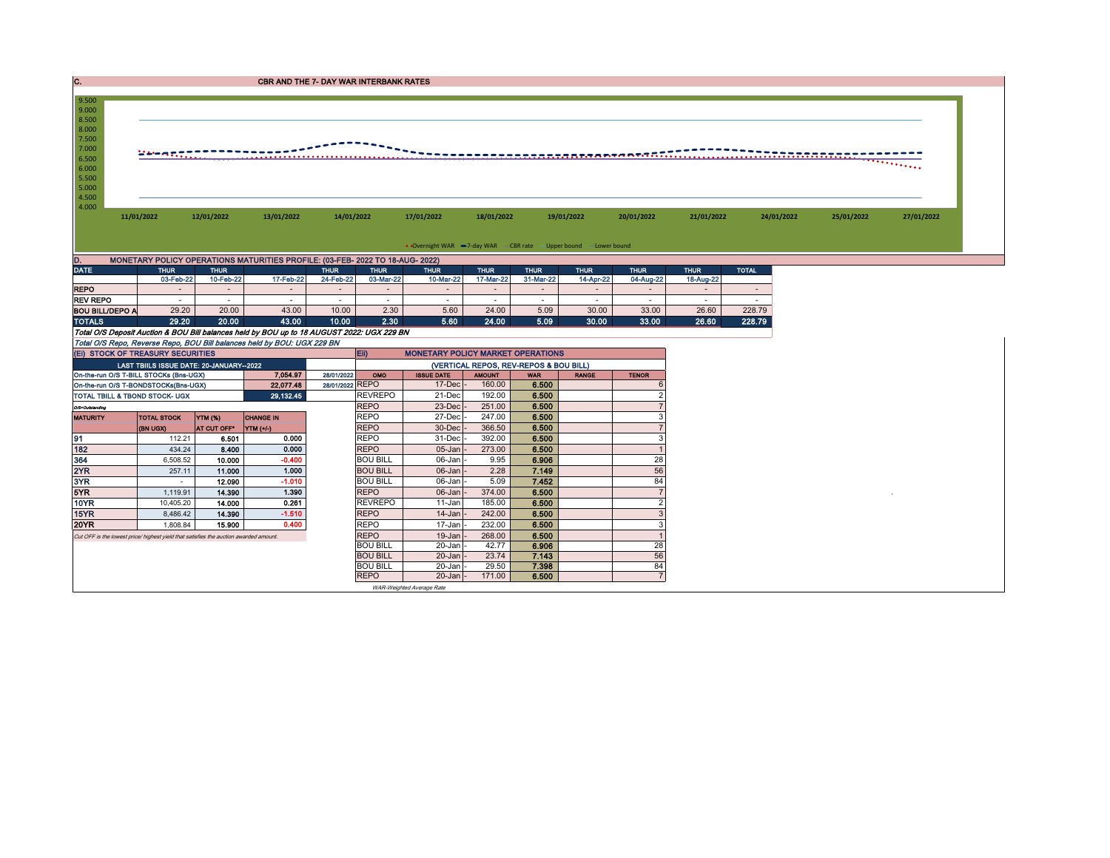| . . | <b>CBR AND THE 7- DAY WAR INTERBANK RATES</b> |
|-----|-----------------------------------------------|
|     |                                               |

| 9.500<br>9.000<br>8.500<br>8.000<br>7.500<br>7.000<br>6.500<br>6.000<br>5.500<br>5.000<br>4.500 |            |            |            |                                                                               |            |                                                                   |            |            |            |            |            |            |
|-------------------------------------------------------------------------------------------------|------------|------------|------------|-------------------------------------------------------------------------------|------------|-------------------------------------------------------------------|------------|------------|------------|------------|------------|------------|
| 4.000                                                                                           | 11/01/2022 | 12/01/2022 | 13/01/2022 | 14/01/2022                                                                    | 17/01/2022 | 18/01/2022                                                        | 19/01/2022 | 20/01/2022 | 21/01/2022 | 24/01/2022 | 25/01/2022 | 27/01/2022 |
| D.                                                                                              |            |            |            | MONETARY POLICY OPERATIONS MATURITIES PROFILE: (03-FEB- 2022 TO 18-AUG- 2022) |            | • Overnight WAR -7-day WAR - CBR rate - Upper bound - Lower bound |            |            |            |            |            |            |

| $\cdots$               |             |             |           |             |             |             |             |             |             |             |             |              |
|------------------------|-------------|-------------|-----------|-------------|-------------|-------------|-------------|-------------|-------------|-------------|-------------|--------------|
| <b>DATE</b>            | <b>THUR</b> | <b>THUR</b> |           | <b>THUR</b> | <b>THUR</b> | <b>THUR</b> | <b>THUR</b> | <b>THUR</b> | <b>THUR</b> | <b>THUR</b> | <b>THUR</b> | <b>TOTAL</b> |
|                        | 03-Feb-22   | 10-Feb-22   | 17-Feb-22 | 24-Feb-22   | 03-Mar-22   | 10-Mar-22   | 17-Mar-22   | 31-Mar-22   | 14-Apr-22   | 04-Aug-22   | 18-Aug-22   |              |
| <b>REPO</b>            |             |             |           |             |             |             |             |             |             |             |             |              |
| <b>REV REPO</b>        |             |             |           |             |             |             |             |             |             |             |             |              |
| <b>BOU BILL/DEPO A</b> | 29.20       | 20.00       | 43.00     | 10.00       | 2.30        | 5.60        | 24.00       | 5.09        | 30.00       | 33.00       | 26.60       | 228.79       |
| <b>TOTALS</b>          | 29.20       | 20.00       | 13.00     | 10.00       | 2.30        | 5.60        | 24.00       | 5.09        | 30.00       | 33.00       | 26.60       | 228.79       |

| TOTALS                                                                                     | 29.20                                   | 20.00       | 43.00            | 10.00           | 2.30            | 5.60                                     | 24.00         | 5.09                                   | 30.00        | 33.00        | 26.60 | 228.79 |
|--------------------------------------------------------------------------------------------|-----------------------------------------|-------------|------------------|-----------------|-----------------|------------------------------------------|---------------|----------------------------------------|--------------|--------------|-------|--------|
| Total O/S Deposit Auction & BOU Bill balances held by BOU up to 18 AUGUST 2022: UGX 229 BN |                                         |             |                  |                 |                 |                                          |               |                                        |              |              |       |        |
| Total O/S Repo, Reverse Repo, BOU Bill balances held by BOU: UGX 229 BN                    |                                         |             |                  |                 |                 |                                          |               |                                        |              |              |       |        |
| (EI) STOCK OF TREASURY SECURITIES                                                          |                                         |             |                  |                 | <b>IEID</b>     | <b>MONETARY POLICY MARKET OPERATIONS</b> |               |                                        |              |              |       |        |
|                                                                                            | LAST TBIILS ISSUE DATE: 20-JANUARY-2022 |             |                  |                 |                 |                                          |               | (VERTICAL REPOS, REV-REPOS & BOU BILL) |              |              |       |        |
| On-the-run O/S T-BILL STOCKs (Bns-UGX)                                                     |                                         |             | 7.054.97         | 28/01/2022      | OMO             | <b>ISSUE DATE</b>                        | <b>AMOUNT</b> | <b>WAR</b>                             | <b>RANGE</b> | <b>TENOR</b> |       |        |
| On-the-run O/S T-BONDSTOCKs(Bns-UGX)                                                       |                                         |             | 22.077.48        | 28/01/2022 REPO |                 | $17$ -Decl                               | 160.00        | 6.500                                  |              |              |       |        |
| TOTAL TBILL & TBOND STOCK- UGX                                                             |                                         |             | 29,132.45        |                 | <b>REVREPO</b>  | 21-Dec                                   | 192.00        | 6.500                                  |              |              |       |        |
| O/S=Outstanding                                                                            |                                         |             |                  |                 | <b>REPO</b>     | 23-Dec                                   | 251.00        | 6.500                                  |              |              |       |        |
| <b>MATURITY</b>                                                                            | <b>TOTAL STOCK</b>                      | YTM (%)     | <b>CHANGE IN</b> |                 | <b>REPO</b>     | 27-Dec                                   | 247.00        | 6.500                                  |              |              |       |        |
|                                                                                            | (BN UGX)                                | AT CUT OFF* | YTM (+/-)        |                 | <b>REPO</b>     | 30-Dec                                   | 366.50        | 6.500                                  |              |              |       |        |
| 91                                                                                         | 112.21                                  | 6.501       | 0.000            |                 | <b>REPO</b>     | 31-Dec                                   | 392.00        | 6.500                                  |              |              |       |        |
| 182                                                                                        | 434.24                                  | 8.400       | 0.000            |                 | <b>REPO</b>     | $05$ -Jan                                | 273.00        | 6.500                                  |              |              |       |        |
| 364                                                                                        | 6,508.52                                | 10.000      | $-0.400$         |                 | <b>BOU BILL</b> | 06-Jan -                                 | 9.95          | 6.906                                  |              | 28           |       |        |
| 2YR                                                                                        | 257.11                                  | 11.000      | 1.000            |                 | <b>BOU BILL</b> | $06$ -Jan $\vert$ -                      | 2.28          | 7.149                                  |              | 56           |       |        |
| 3YR                                                                                        |                                         | 12.090      | $-1.010$         |                 | <b>BOU BILL</b> | $06$ -Jan $\vert$ -                      | 5.09          | 7.452                                  |              | 84           |       |        |
| 5YR                                                                                        | 1.119.91                                | 14.390      | 1.390            |                 | <b>REPO</b>     | $06$ -Jan                                | 374.00        | 6.500                                  |              |              |       |        |
| 10YR                                                                                       | 10,405.20                               | 14.000      | 0.261            |                 | <b>REVREPO</b>  | 11-Jan                                   | 185.00        | 6.500                                  |              |              |       |        |
| 15YR                                                                                       | 8,486.42                                | 14.390      | $-1.510$         |                 | <b>REPO</b>     | $14$ -Jan                                | 242.00        | 6.500                                  |              |              |       |        |
| 20YR                                                                                       | 1.808.84                                | 15.900      | 0.400            |                 | <b>REPO</b>     | $17 - Jan$                               | 232.00        | 6.500                                  |              |              |       |        |
| Cut OFF is the lowest price/ highest yield that satisfies the auction awarded amount.      |                                         |             |                  |                 | <b>REPO</b>     | $19$ -Jan                                | 268.00        | 6.500                                  |              |              |       |        |
|                                                                                            |                                         |             |                  |                 | <b>BOU BILL</b> | $20$ -Jan                                | 42.77         | 6.906                                  |              | 28           |       |        |
|                                                                                            |                                         |             |                  |                 | <b>BOU BILL</b> | $20$ -Jan                                | 23.74         | 7.143                                  |              | 56           |       |        |
|                                                                                            |                                         |             |                  |                 | <b>BOU BILL</b> | $20 - Jan$ -                             | 29.50         | 7.398                                  |              | 84           |       |        |
|                                                                                            |                                         |             |                  |                 | <b>REPO</b>     | $20$ -Jan $\vert$ -                      | 171.00        | 6.500                                  |              |              |       |        |
|                                                                                            |                                         |             |                  |                 |                 | WAR-Weighted Average Rate                |               |                                        |              |              |       |        |